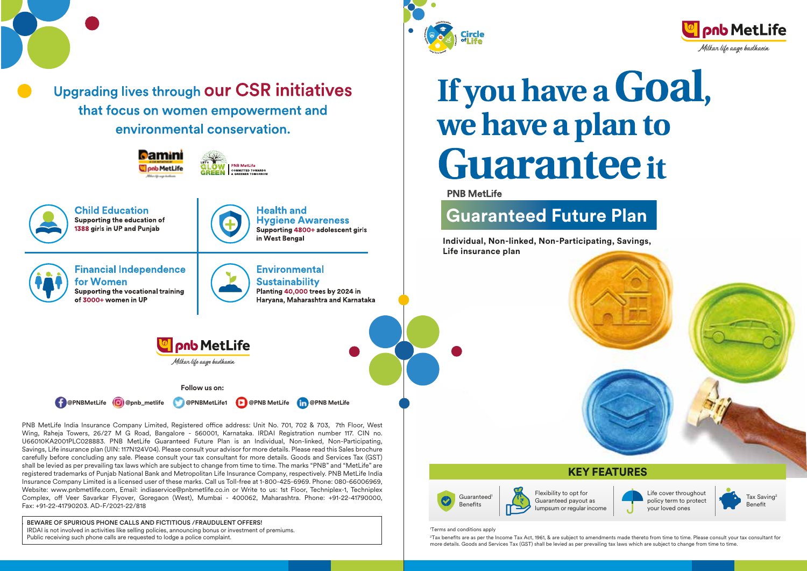

Upgrading lives through our CSR initiatives that focus on women empowerment and environmental conservation.

**D**amini

**PNB MetLife C**lonb MetLife **COMMITTED TOWARDS Child Education Health and** Supporting the education of **Hygiene Awareness** 1388 girls in UP and Punjab Supporting 4800+ adolescent girls in West Bengal **Financial Independence Environmental** for Women **Sustainability** Supporting the vocational training Planting 40,000 trees by 2024 in of 3000+ women in UP Harvana, Maharashtra and Karnataka **Onb** MetLife Milkar life aage hadhaein **Follow us on: @PNBMetLife @pnb\_metlife @PNBMetLife1 @PNB MetLife @PNB MetLife**

PNB MetLife India Insurance Company Limited, Registered office address: Unit No. 701, 702 & 703, 7th Floor, West Wing, Raheja Towers, 26/27 M G Road, Bangalore - 560001, Karnataka. IRDAI Registration number 117. CIN no. U66010KA2001PLC028883. PNB MetLife Guaranteed Future Plan is an Individual, Non-linked, Non-Participating, Savings, Life insurance plan (UIN: 117N124V04). Please consult your advisor for more details. Please read this Sales brochure carefully before concluding any sale. Please consult your tax consultant for more details. Goods and Services Tax (GST) shall be levied as per prevailing tax laws which are subject to change from time to time. The marks "PNB" and "MetLife" are registered trademarks of Punjab National Bank and Metropolitan Life Insurance Company, respectively. PNB MetLife India Insurance Company Limited is a licensed user of these marks. Call us Toll-free at 1-800-425-6969. Phone: 080-66006969, Website: www.pnbmetlife.com, Email: indiaservice@pnbmetlife.co.in or Write to us: 1st Floor, Techniplex-1, Techniplex Complex, off Veer Savarkar Flyover, Goregaon (West), Mumbai - 400062, Maharashtra, Phone: +91-22-41790000, Fax: +91-22-41790203. AD-F/2021-22/818

BEWARE OF SPURIOUS PHONE CALLS AND FICTITIOUS / FRAUDULENT OFFERS! IRDAI is not involved in activities like selling policies, announcing bonus or investment of premiums. Public receiving such phone calls are requested to lodge a police complaint.





**PNB MetLife** 

# **Guaranteed Future Plan**

**Individual, Non-linked, Non-Participating, Savings, Life insurance plan**





1 Terms and conditions apply

 $^{\rm 2}$ Tax benefits are as per the Income Tax Act, 1961, & are subject to amendments made thereto from time to time. Please consult your tax consultant for more details. Goods and Services Tax (GST) shall be levied as per prevailing tax laws which are subject to change from time to time.

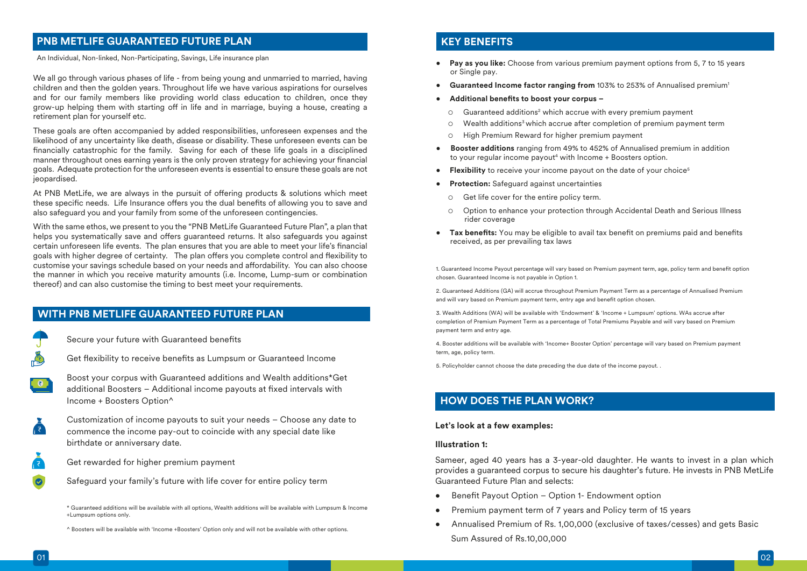# **PNB METLIFE GUARANTEED FUTURE PLAN**

An Individual, Non-linked, Non-Participating, Savings, Life insurance plan

We all go through various phases of life - from being young and unmarried to married, having children and then the golden years. Throughout life we have various aspirations for ourselves and for our family members like providing world class education to children, once they grow-up helping them with starting off in life and in marriage, buying a house, creating a retirement plan for yourself etc.

These goals are often accompanied by added responsibilities, unforeseen expenses and the likelihood of any uncertainty like death, disease or disability. These unforeseen events can be financially catastrophic for the family. Saving for each of these life goals in a disciplined manner throughout ones earning years is the only proven strategy for achieving your financial goals. Adequate protection for the unforeseen events is essential to ensure these goals are not ieopardised.

At PNB MetLife, we are always in the pursuit of offering products & solutions which meet these specific needs. Life Insurance offers you the dual benefits of allowing you to save and also safeguard you and your family from some of the unforeseen contingencies.

With the same ethos, we present to you the "PNB MetLife Guaranteed Future Plan", a plan that helps you systematically save and offers guaranteed returns. It also safeguards you against certain unforeseen life events. The plan ensures that you are able to meet your life's financial goals with higher degree of certainty. The plan offers you complete control and flexibility to customise your savings schedule based on your needs and affordability. You can also choose the manner in which you receive maturity amounts (i.e. Income, Lump-sum or combination thereof) and can also customise the timing to best meet your requirements.

### **WITH PNB METLIFE GUARANTEED FUTURE PLAN**

Secure your future with Guaranteed benefits

- Get flexibility to receive benefits as Lumpsum or Guaranteed Income
- Boost your corpus with Guaranteed additions and Wealth additions\*Get additional Boosters - Additional income payouts at fixed intervals with Income + Boosters Option^

Customization of income payouts to suit your needs – Choose any date to  $\sqrt{z}$ commence the income pay-out to coincide with any special date like birthdate or anniversary date.

- Get rewarded for higher premium payment
- Safeguard your family's future with life cover for entire policy term

\* Guaranteed additions will be available with all options, Wealth additions will be available with Lumpsum & Income +Lumpsum options only.

^ Boosters will be available with 'Income +Boosters' Option only and will not be available with other options.

### **KEY BENEFITS**

- **Pay as you like:** Choose from various premium payment options from 5, 7 to 15 years or Single pay.
- **•** Guaranteed Income factor ranging from 103% to 253% of Annualised premium<sup>1</sup>
- Additional benefits to boost your corpus -
- $\circ$  Guaranteed additions<sup>2</sup> which accrue with every premium payment
	- Wealth additions3 which accrue after completion of premium payment term
	- High Premium Reward for higher premium payment
- **Booster additions** ranging from 49% to 452% of Annualised premium in addition to your regular income payout<sup>4</sup> with Income + Boosters option.
- **Flexibility** to receive your income payout on the date of your choice<sup>5</sup>
- **Protection:** Safeguard against uncertainties
	- Get life cover for the entire policy term.
	- Option to enhance your protection through Accidental Death and Serious Illness rider coverage
- Tax benefits: You may be eligible to avail tax benefit on premiums paid and benefits received, as per prevailing tax laws

1. Guaranteed Income Payout percentage will vary based on Premium payment term, age, policy term and benefit option chosen. Guaranteed Income is not payable in Option 1.

2. Guaranteed Additions (GA) will accrue throughout Premium Payment Term as a percentage of Annualised Premium and will vary based on Premium payment term, entry age and benefit option chosen.

3. Wealth Additions (WA) will be available with 'Endowment' & 'Income + Lumpsum' options. WAs accrue after completion of Premium Payment Term as a percentage of Total Premiums Payable and will vary based on Premium payment term and entry age.

4. Booster additions will be available with 'Income+ Booster Option' percentage will vary based on Premium payment term, age, policy term.

5. Policyholder cannot choose the date preceding the due date of the income payout. .

# **HOW DOES THE PLAN WORK?**

### **Let's look at a few examples:**

#### **Illustration 1:**

Sameer, aged 40 years has a 3-year-old daughter. He wants to invest in a plan which provides a guaranteed corpus to secure his daughter's future. He invests in PNB MetLife Guaranteed Future Plan and selects:

- Benefit Payout Option Option 1- Endowment option
- Premium payment term of 7 years and Policy term of 15 years
- Annualised Premium of Rs. 1,00,000 (exclusive of taxes/cesses) and gets Basic Sum Assured of Rs.10,00,000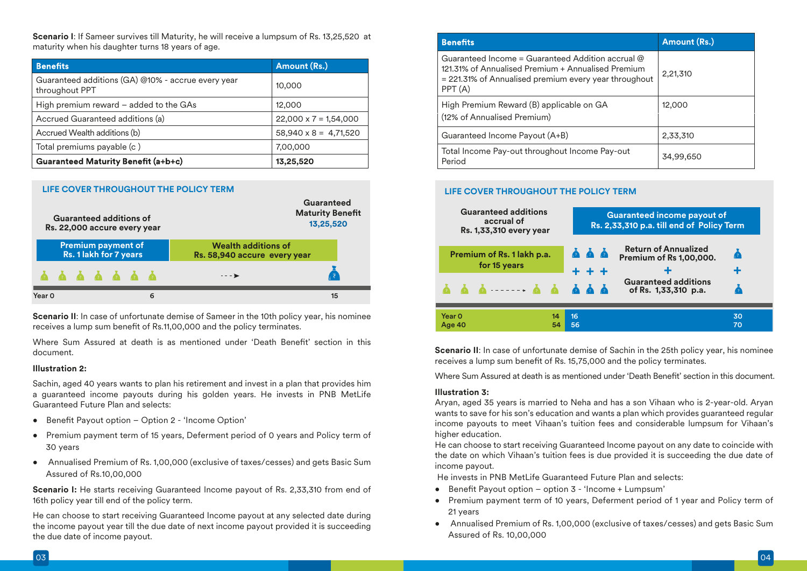**Scenario I**: If Sameer survives till Maturity, he will receive a lumpsum of Rs. 13,25,520 at maturity when his daughter turns 18 years of age.

| <b>Benefits</b>                                                      | Amount (Rs.)                 |  |  |
|----------------------------------------------------------------------|------------------------------|--|--|
| Guaranteed additions (GA) @10% - accrue every year<br>throughout PPT | 10,000                       |  |  |
| High premium reward - added to the GAs                               | 12,000                       |  |  |
| Accrued Guaranteed additions (a)                                     | $22,000 \times 7 = 1,54,000$ |  |  |
| Accrued Wealth additions (b)                                         | $58,940 \times 8 = 4,71,520$ |  |  |
| Total premiums payable (c)                                           | 7,00,000                     |  |  |
| Guaranteed Maturity Benefit (a+b+c)                                  | 13,25,520                    |  |  |



**Scenario II:** In case of unfortunate demise of Sameer in the 10th policy year, his nominee receives a lump sum benefit of Rs.11,00,000 and the policy terminates.

Where Sum Assured at death is as mentioned under 'Death Benefit' section in this document.

#### **Illustration 2:**

Sachin, aged 40 years wants to plan his retirement and invest in a plan that provides him a guaranteed income payouts during his golden years. He invests in PNB MetLife Guaranteed Future Plan and selects:

- Benefit Payout option Option 2 'Income Option'
- Premium payment term of 15 years, Deferment period of 0 years and Policy term of 30 years
- Annualised Premium of Rs. 1,00,000 (exclusive of taxes/cesses) and gets Basic Sum Assured of Rs.10,00,000

**Scenario I:** He starts receiving Guaranteed Income payout of Rs. 2,33,310 from end of 16th policy year till end of the policy term.

He can choose to start receiving Guaranteed Income payout at any selected date during the income payout year till the due date of next income payout provided it is succeeding the due date of income payout.

| <b>Benefits</b>                                                                                                                                                              | Amount (Rs.) |
|------------------------------------------------------------------------------------------------------------------------------------------------------------------------------|--------------|
| Guaranteed Income = Guaranteed Addition accrual $@$<br>121.31% of Annualised Premium + Annualised Premium<br>= 221.31% of Annualised premium every year throughout<br>PPT(A) | 2,21,310     |
| High Premium Reward (B) applicable on GA<br>(12% of Annualised Premium)                                                                                                      | 12,000       |
| Guaranteed Income Payout (A+B)                                                                                                                                               | 2,33,310     |
| Total Income Pay-out throughout Income Pay-out<br>Period                                                                                                                     | 34,99,650    |

### **LIFE COVER THROUGHOUT THE POLICY TERM**



**Scenario II:** In case of unfortunate demise of Sachin in the 25th policy year, his nominee receives a lump sum benefit of Rs. 15,75,000 and the policy terminates.

Where Sum Assured at death is as mentioned under 'Death Benefit' section in this document.

#### **Illustration 3:**

Aryan, aged 35 years is married to Neha and has a son Vihaan who is 2-year-old. Aryan wants to save for his son's education and wants a plan which provides guaranteed regular income payouts to meet Vihaan's tuition fees and considerable lumpsum for Vihaan's higher education.

He can choose to start receiving Guaranteed Income payout on any date to coincide with the date on which Vihaan's tuition fees is due provided it is succeeding the due date of income payout.

He invests in PNB MetLife Guaranteed Future Plan and selects:

- Benefit Payout option option 3 'Income + Lumpsum'
- Premium payment term of 10 years, Deferment period of 1 year and Policy term of 21 years
- Annualised Premium of Rs. 1,00,000 (exclusive of taxes/cesses) and gets Basic Sum Assured of Rs. 10,00,000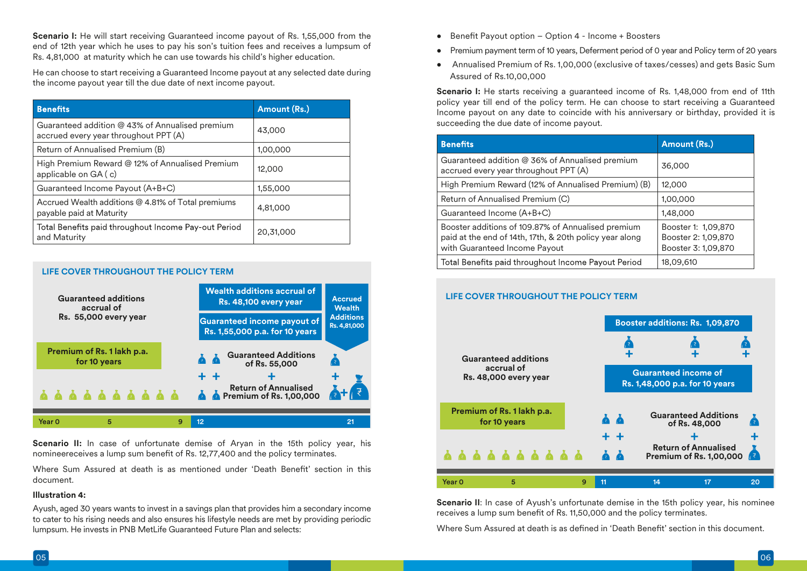**Scenario I:** He will start receiving Guaranteed income payout of Rs. 1,55,000 from the end of 12th year which he uses to pay his son's tuition fees and receives a lumpsum of Rs. 4,81,000 at maturity which he can use towards his child's higher education.

He can choose to start receiving a Guaranteed Income payout at any selected date during the income payout year till the due date of next income payout.

| <b>Benefits</b>                                                                          | Amount (Rs.) |
|------------------------------------------------------------------------------------------|--------------|
| Guaranteed addition @ 43% of Annualised premium<br>accrued every year throughout PPT (A) | 43,000       |
| Return of Annualised Premium (B)                                                         | 1,00,000     |
| High Premium Reward @ 12% of Annualised Premium<br>applicable on GA (c)                  | 12,000       |
| Guaranteed Income Payout (A+B+C)                                                         | 1,55,000     |
| Accrued Wealth additions @ 4.81% of Total premiums<br>payable paid at Maturity           | 4,81,000     |
| Total Benefits paid throughout Income Pay-out Period<br>and Maturity                     | 20,31,000    |

### **LIFE COVER THROUGHOUT THE POLICY TERM**



**Scenario II:** In case of unfortunate demise of Aryan in the 15th policy year, his nomineereceives a lump sum benefit of Rs. 12,77,400 and the policy terminates.

Where Sum Assured at death is as mentioned under 'Death Benefit' section in this document.

### **Illustration 4:**

Ayush, aged 30 years wants to invest in a savings plan that provides him a secondary income to cater to his rising needs and also ensures his lifestyle needs are met by providing periodic lumpsum. He invests in PNB MetLife Guaranteed Future Plan and selects:

- $\bullet$  Benefit Payout option Option 4 Income + Boosters
- Premium payment term of 10 years, Deferment period of 0 year and Policy term of 20 years
- Annualised Premium of Rs. 1,00,000 (exclusive of taxes/cesses) and gets Basic Sum Assured of Rs.10,00,000

**Scenario I:** He starts receiving a guaranteed income of Rs. 1,48,000 from end of 11th policy year till end of the policy term. He can choose to start receiving a Guaranteed Income payout on any date to coincide with his anniversary or birthday, provided it is succeeding the due date of income payout.

| <b>Benefits</b>                                                                                                                                | Amount (Rs.)                                                      |
|------------------------------------------------------------------------------------------------------------------------------------------------|-------------------------------------------------------------------|
| Guaranteed addition @ 36% of Annualised premium<br>accrued every year throughout PPT (A)                                                       | 36,000                                                            |
| High Premium Reward (12% of Annualised Premium) (B)                                                                                            | 12,000                                                            |
| Return of Annualised Premium (C)                                                                                                               | 1,00,000                                                          |
| Guaranteed Income (A+B+C)                                                                                                                      | 1,48,000                                                          |
| Booster additions of 109.87% of Annualised premium<br>paid at the end of 14th, 17th, & 20th policy year along<br>with Guaranteed Income Payout | Booster 1: 1,09,870<br>Booster 2: 1,09,870<br>Booster 3: 1,09,870 |
| Total Benefits paid throughout Income Payout Period                                                                                            | 18,09,610                                                         |

### **LIFE COVER THROUGHOUT THE POLICY TERM**



**Scenario II:** In case of Ayush's unfortunate demise in the 15th policy year, his nominee receives a lump sum benefit of Rs. 11,50,000 and the policy terminates.

Where Sum Assured at death is as defined in 'Death Benefit' section in this document.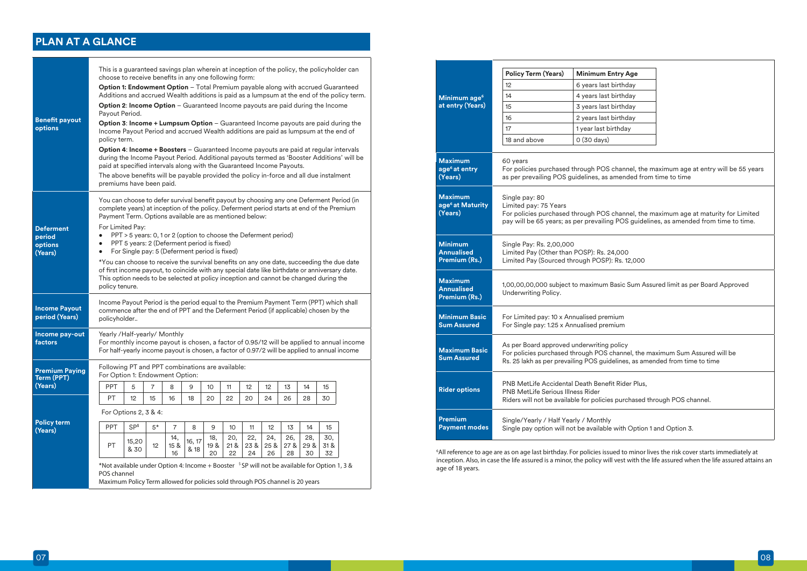# **PLAN AT A GLANCE**

|                                                  | This is a guaranteed savings plan wherein at inception of the policy, the policyholder can<br>choose to receive benefits in any one following form:                                                                                                                                                   |                                                                                                                                                                                                                                                                    |                 |                   |                |                   |                  |                   |                   |                  |                   |                   |                                                                                            |
|--------------------------------------------------|-------------------------------------------------------------------------------------------------------------------------------------------------------------------------------------------------------------------------------------------------------------------------------------------------------|--------------------------------------------------------------------------------------------------------------------------------------------------------------------------------------------------------------------------------------------------------------------|-----------------|-------------------|----------------|-------------------|------------------|-------------------|-------------------|------------------|-------------------|-------------------|--------------------------------------------------------------------------------------------|
|                                                  | Option 1: Endowment Option - Total Premium payable along with accrued Guaranteed                                                                                                                                                                                                                      |                                                                                                                                                                                                                                                                    |                 |                   |                |                   |                  |                   |                   |                  |                   |                   | Additions and accrued Wealth additions is paid as a lumpsum at the end of the policy term. |
|                                                  | <b>Option 2: Income Option - Guaranteed Income payouts are paid during the Income</b><br>Payout Period.                                                                                                                                                                                               |                                                                                                                                                                                                                                                                    |                 |                   |                |                   |                  |                   |                   |                  |                   |                   |                                                                                            |
| <b>Benefit payout</b><br>options                 |                                                                                                                                                                                                                                                                                                       | Option 3: Income + Lumpsum Option - Guaranteed Income payouts are paid during the<br>Income Payout Period and accrued Wealth additions are paid as lumpsum at the end of<br>policy term.                                                                           |                 |                   |                |                   |                  |                   |                   |                  |                   |                   |                                                                                            |
|                                                  |                                                                                                                                                                                                                                                                                                       | <b>Option 4: Income + Boosters</b> – Guaranteed Income payouts are paid at regular intervals<br>during the Income Payout Period. Additional payouts termed as 'Booster Additions' will be<br>paid at specified intervals along with the Guaranteed Income Payouts. |                 |                   |                |                   |                  |                   |                   |                  |                   |                   |                                                                                            |
|                                                  | The above benefits will be payable provided the policy in-force and all due instalment<br>premiums have been paid.                                                                                                                                                                                    |                                                                                                                                                                                                                                                                    |                 |                   |                |                   |                  |                   |                   |                  |                   |                   |                                                                                            |
|                                                  |                                                                                                                                                                                                                                                                                                       | You can choose to defer survival benefit payout by choosing any one Deferment Period (in<br>complete years) at inception of the policy. Deferment period starts at end of the Premium<br>Payment Term. Options available are as mentioned below:                   |                 |                   |                |                   |                  |                   |                   |                  |                   |                   |                                                                                            |
| <b>Deferment</b><br>period<br>options<br>(Years) | $\bullet$<br>$\bullet$                                                                                                                                                                                                                                                                                | For Limited Pay:<br>PPT > 5 years: 0, 1 or 2 (option to choose the Deferment period)<br>PPT 5 years: 2 (Deferment period is fixed)<br>For Single pay: 5 (Deferment period is fixed)                                                                                |                 |                   |                |                   |                  |                   |                   |                  |                   |                   |                                                                                            |
|                                                  | *You can choose to receive the survival benefits on any one date, succeeding the due date<br>of first income payout, to coincide with any special date like birthdate or anniversary date.<br>This option needs to be selected at policy inception and cannot be changed during the<br>policy tenure. |                                                                                                                                                                                                                                                                    |                 |                   |                |                   |                  |                   |                   |                  |                   |                   |                                                                                            |
| <b>Income Payout</b><br>period (Years)           | Income Payout Period is the period equal to the Premium Payment Term (PPT) which shall<br>commence after the end of PPT and the Deferment Period (if applicable) chosen by the<br>policyholder                                                                                                        |                                                                                                                                                                                                                                                                    |                 |                   |                |                   |                  |                   |                   |                  |                   |                   |                                                                                            |
| Income pay-out<br>factors                        | Yearly /Half-yearly/ Monthly<br>For half-yearly income payout is chosen, a factor of 0.97/2 will be applied to annual income                                                                                                                                                                          |                                                                                                                                                                                                                                                                    |                 |                   |                |                   |                  |                   |                   |                  |                   |                   | For monthly income payout is chosen, a factor of 0.95/12 will be applied to annual income  |
| <b>Premium Paying</b><br>Term (PPT)              | Following PT and PPT combinations are available:<br>For Option 1: Endowment Option:                                                                                                                                                                                                                   |                                                                                                                                                                                                                                                                    |                 |                   |                |                   |                  |                   |                   |                  |                   |                   |                                                                                            |
| (Years)                                          | PPT                                                                                                                                                                                                                                                                                                   | 5                                                                                                                                                                                                                                                                  | 7               | 8                 | 9              | 10                | 11               | 12                | 12                | 13               | 14                | 15                |                                                                                            |
|                                                  | PT                                                                                                                                                                                                                                                                                                    | 12                                                                                                                                                                                                                                                                 | 15              | 16                | 18             | 20                | 22               | 20                | 24                | 26               | 28                | 30                |                                                                                            |
|                                                  | For Options 2, 3 & 4:                                                                                                                                                                                                                                                                                 |                                                                                                                                                                                                                                                                    |                 |                   |                |                   |                  |                   |                   |                  |                   |                   |                                                                                            |
| <b>Policy term</b><br>(Years)                    | <b>PPT</b>                                                                                                                                                                                                                                                                                            | SP\$                                                                                                                                                                                                                                                               | $5*$            | $\overline{7}$    | 8              | 9                 | 10               | 11                | 12                | 13               | 14                | 15                |                                                                                            |
|                                                  | PT                                                                                                                                                                                                                                                                                                    | 15,20<br>& 30                                                                                                                                                                                                                                                      | 12 <sup>°</sup> | 14,<br>15 &<br>16 | 16, 17<br>& 18 | 18,<br>19 &<br>20 | 20,<br>218<br>22 | 22,<br>23 &<br>24 | 24,<br>25 &<br>26 | 26,<br>278<br>28 | 28,<br>29 &<br>30 | 30,<br>31 &<br>32 |                                                                                            |
|                                                  | *Not available under Option 4: Income + Booster <sup>5</sup> SP will not be available for Option 1, 3 &<br>POS channel<br>Maximum Policy Term allowed for policies sold through POS channel is 20 years                                                                                               |                                                                                                                                                                                                                                                                    |                 |                   |                |                   |                  |                   |                   |                  |                   |                   |                                                                                            |

|                                                           | Policy Term (Years)                                                                                                     | <b>Minimum Entry Age</b>                                                                                                                                                     |                                                                                       |  |  |  |  |  |  |  |
|-----------------------------------------------------------|-------------------------------------------------------------------------------------------------------------------------|------------------------------------------------------------------------------------------------------------------------------------------------------------------------------|---------------------------------------------------------------------------------------|--|--|--|--|--|--|--|
|                                                           | 12                                                                                                                      | 6 years last birthday                                                                                                                                                        |                                                                                       |  |  |  |  |  |  |  |
| Minimum age <sup>6</sup>                                  | 14                                                                                                                      | 4 years last birthday                                                                                                                                                        |                                                                                       |  |  |  |  |  |  |  |
| at entry (Years)                                          | 15                                                                                                                      | 3 years last birthday                                                                                                                                                        |                                                                                       |  |  |  |  |  |  |  |
|                                                           | 16                                                                                                                      | 2 years last birthday                                                                                                                                                        |                                                                                       |  |  |  |  |  |  |  |
|                                                           | 17                                                                                                                      | 1 year last birthday                                                                                                                                                         |                                                                                       |  |  |  |  |  |  |  |
|                                                           | 18 and above                                                                                                            | 0 (30 days)                                                                                                                                                                  |                                                                                       |  |  |  |  |  |  |  |
|                                                           |                                                                                                                         |                                                                                                                                                                              |                                                                                       |  |  |  |  |  |  |  |
| <b>Maximum</b><br>age <sup>6</sup> at entry               | 60 years                                                                                                                |                                                                                                                                                                              | For policies purchased through POS channel, the maximum age at entry will be 55 years |  |  |  |  |  |  |  |
| (Years)                                                   |                                                                                                                         | as per prevailing POS guidelines, as amended from time to time                                                                                                               |                                                                                       |  |  |  |  |  |  |  |
| <b>Maximum</b><br>age <sup>6</sup> at Maturity<br>(Years) | Single pay: 80<br>Limited pay: 75 Years                                                                                 | For policies purchased through POS channel, the maximum age at maturity for Limited<br>pay will be 65 years; as per prevailing POS guidelines, as amended from time to time. |                                                                                       |  |  |  |  |  |  |  |
| <b>Minimum</b><br><b>Annualised</b><br>Premium (Rs.)      | Single Pay: Rs. 2,00,000<br>Limited Pay (Other than POSP): Rs. 24,000<br>Limited Pay (Sourced through POSP): Rs. 12,000 |                                                                                                                                                                              |                                                                                       |  |  |  |  |  |  |  |
| <b>Maximum</b><br><b>Annualised</b><br>Premium (Rs.)      | Underwriting Policy.                                                                                                    | 1,00,00,00,000 subject to maximum Basic Sum Assured limit as per Board Approved                                                                                              |                                                                                       |  |  |  |  |  |  |  |
| <b>Minimum Basic</b><br><b>Sum Assured</b>                | For Limited pay: 10 x Annualised premium<br>For Single pay: 1.25 x Annualised premium                                   |                                                                                                                                                                              |                                                                                       |  |  |  |  |  |  |  |
| <b>Maximum Basic</b><br><b>Sum Assured</b>                | As per Board approved underwriting policy                                                                               | For policies purchased through POS channel, the maximum Sum Assured will be<br>Rs. 25 lakh as per prevailing POS guidelines, as amended from time to time                    |                                                                                       |  |  |  |  |  |  |  |
| <b>Rider options</b>                                      | <b>PNB MetLife Serious Illness Rider</b>                                                                                | PNB MetLife Accidental Death Benefit Rider Plus,<br>Riders will not be available for policies purchased through POS channel.                                                 |                                                                                       |  |  |  |  |  |  |  |
| <b>Premium</b><br><b>Payment modes</b>                    | Single/Yearly / Half Yearly / Monthly                                                                                   | Single pay option will not be available with Option 1 and Option 3.                                                                                                          |                                                                                       |  |  |  |  |  |  |  |

6 All reference to age are as on age last birthday. For policies issued to minor lives the risk cover starts immediately at inception. Also, in case the life assured is a minor, the policy will vest with the life assured when the life assured attains an age of 18 years.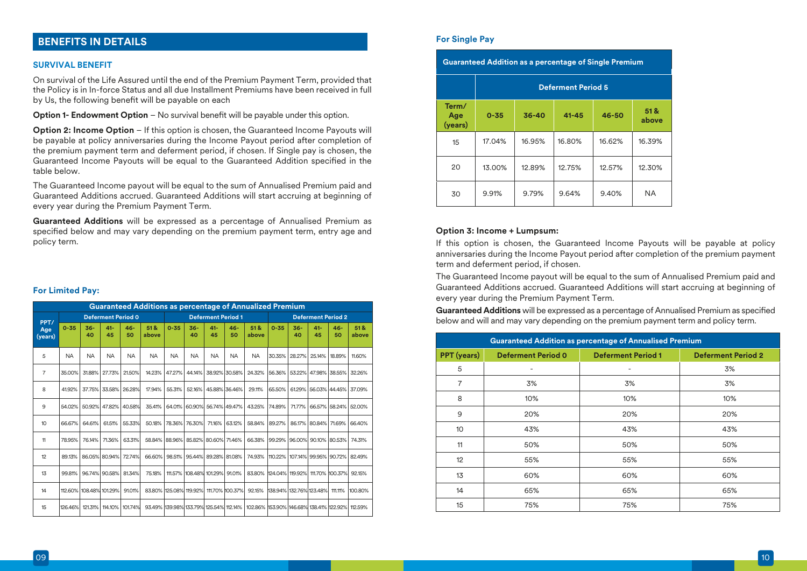# **BENEFITS IN DETAILS**

#### **SURVIVAL BENEFIT**

On survival of the Life Assured until the end of the Premium Payment Term, provided that the Policy is in In-force Status and all due Installment Premiums have been received in full by Us, the following benefit will be payable on each

**Option 1- Endowment Option** – No survival benefit will be payable under this option.

**Option 2: Income Option** – If this option is chosen, the Guaranteed Income Payouts will be payable at policy anniversaries during the Income Payout period after completion of the premium payment term and deferment period, if chosen. If Single pay is chosen, the Guaranteed Income Payouts will be equal to the Guaranteed Addition specified in the table below.

The Guaranteed Income payout will be equal to the sum of Annualised Premium paid and Guaranteed Additions accrued. Guaranteed Additions will start accruing at beginning of every year during the Premium Payment Term.

**Guaranteed Additions** will be expressed as a percentage of Annualised Premium as specified below and may vary depending on the premium payment term, entry age and policy term.

### **For Limited Pay:**

|                 | <b>Guaranteed Additions as percentage of Annualized Premium</b> |                         |               |                      |              |                                        |               |                                |                             |                                                 |                                 |             |                             |                                  |                          |
|-----------------|-----------------------------------------------------------------|-------------------------|---------------|----------------------|--------------|----------------------------------------|---------------|--------------------------------|-----------------------------|-------------------------------------------------|---------------------------------|-------------|-----------------------------|----------------------------------|--------------------------|
| PPT/            | <b>Deferment Period 0</b>                                       |                         |               |                      |              | <b>Deferment Period 1</b>              |               |                                |                             | <b>Deferment Period 2</b>                       |                                 |             |                             |                                  |                          |
| Age<br>(years)  | $0 - 35$                                                        | $36 -$<br>40            | $41 -$<br>45  | $46 -$<br>50         | 51&<br>above | $0 - 35$                               | $36-$<br>40   | $41 -$<br>45                   | $46 -$<br>50                | 51&<br>above                                    | $0 - 35$                        | $36-$<br>40 | $41 -$<br>45                | $46 -$<br>50                     | 51 <sup>8</sup><br>above |
| 5               | <b>NA</b>                                                       | <b>NA</b>               | <b>NA</b>     | <b>NA</b>            | <b>NA</b>    | <b>NA</b>                              | <b>NA</b>     | <b>NA</b>                      | <b>NA</b>                   | <b>NA</b>                                       | 30.35%                          | 28.27%      | 25.14%                      | 18.89%                           | 11.60%                   |
| $\overline{7}$  | 35.00%                                                          | 31.88%                  | 27.73%        | 21.50%               | 14.23%       | 47.27%                                 | 44.14%        |                                | 38.92% 30.58%               | 24.32%                                          |                                 |             | 56.36% 53.22% 47.98% 38.55% |                                  | 32.26%                   |
| 8               | 41.92%                                                          | 37.75%                  | 33.58%        | 26.28%               | 17.94%       | 55.31%                                 | 52.16%        |                                | 45.88% 36.46%               | 29.11%                                          | 65.50%                          |             |                             | 61.29% 56.03% 44.45%             | 37.09%                   |
| 9               | 54.02%                                                          |                         | 50.92% 47.82% | 40.58%               | 35.41%       |                                        |               |                                | 64.01% 60.90% 56.74% 49.47% | 43.25%                                          | 74.89%                          | 71.77%      |                             | 66.57% 58.24%                    | 52.00%                   |
| 10 <sup>°</sup> | 66.67%                                                          | 64.61%                  | 61.51%        | 55.33%               | 50.18%       |                                        | 78.36% 76.30% | 71.16%                         | 63.12%                      | 58.84%                                          | 89.27%                          |             | 86.17% 80.84% 71.69%        |                                  | 66.40%                   |
| 11              | 78.95%                                                          | 76.14%                  | 71.36%        | 63.31%               |              | 58.84% 88.96% 85.82% 80.60% 71.46%     |               |                                |                             | 66.38%                                          |                                 |             |                             | 99.29%   96.00%  90.10%   80.53% | 74.31%                   |
| 12              | 89.13%                                                          |                         |               | 86.05% 80.94% 72.74% | 66.60%       |                                        |               |                                | 98.51% 95.44% 89.28% 81.08% | 74.93%                                          |                                 |             |                             | 110.22% 107.14% 99.95% 90.72% 1  | 82.49%                   |
| 13              | 99.81%                                                          |                         | 96.74% 90.58% | 81.34%               | 75.18%       |                                        |               | 111.57% 108.48% 101.29% 91.01% |                             | 83.80%                                          | 124.04% 119.92% 111.70% 100.37% |             |                             |                                  | 92.15%                   |
| 14              |                                                                 | 112.60% 108.48% 101.29% |               | 91.01%               |              |                                        |               |                                |                             | 83.80% 125.08% 119.92% 111.70% 100.37% 92.15%   | 138.94% 132.76% 123.48% 111.11% |             |                             |                                  | 100.80%                  |
| 15              | 126.46%                                                         | 121.31%                 | 114.10%       | 101.74%              |              | 93.49% 139.98% 133.79% 125.54% 112.14% |               |                                |                             | 102.86% 153.90% 146.68% 138.41% 122.92% 112.59% |                                 |             |                             |                                  |                          |

#### **For Single Pay**

| <b>Guaranteed Addition as a percentage of Single Premium</b> |                           |        |           |        |              |  |  |  |  |  |  |
|--------------------------------------------------------------|---------------------------|--------|-----------|--------|--------------|--|--|--|--|--|--|
|                                                              | <b>Deferment Period 5</b> |        |           |        |              |  |  |  |  |  |  |
| Term/<br>Age<br>(years)                                      | $0 - 35$<br>$36 - 40$     |        | $41 - 45$ | 46-50  | 51&<br>above |  |  |  |  |  |  |
| 15                                                           | 17.04%                    | 16.95% | 16.80%    | 16.62% | 16.39%       |  |  |  |  |  |  |
| 20                                                           | 13.00%                    |        | 12.75%    | 12.57% | 12.30%       |  |  |  |  |  |  |
| 30                                                           | 9.91%                     | 9.79%  | 9.64%     | 9.40%  | <b>NA</b>    |  |  |  |  |  |  |

### **Option 3: Income + Lumpsum:**

If this option is chosen, the Guaranteed Income Payouts will be payable at policy anniversaries during the Income Payout period after completion of the premium payment term and deferment period, if chosen.

The Guaranteed Income payout will be equal to the sum of Annualised Premium paid and Guaranteed Additions accrued. Guaranteed Additions will start accruing at beginning of every year during the Premium Payment Term.

**Guaranteed Additions** will be expressed as a percentage of Annualised Premium as specified below and will and may vary depending on the premium payment term and policy term.

| <b>Guaranteed Addition as percentage of Annualised Premium</b> |                           |                           |                           |  |  |  |  |  |  |
|----------------------------------------------------------------|---------------------------|---------------------------|---------------------------|--|--|--|--|--|--|
| <b>PPT</b> (years)                                             | <b>Deferment Period 0</b> | <b>Deferment Period 1</b> | <b>Deferment Period 2</b> |  |  |  |  |  |  |
| 5                                                              | ۰                         |                           | 3%                        |  |  |  |  |  |  |
| $\overline{7}$                                                 | 3%                        | 3%                        | 3%                        |  |  |  |  |  |  |
| 8                                                              | 10%                       | 10%                       | 10%                       |  |  |  |  |  |  |
| 9                                                              | 20%                       | 20%                       | 20%                       |  |  |  |  |  |  |
| 10                                                             | 43%                       | 43%                       | 43%                       |  |  |  |  |  |  |
| 11                                                             | 50%                       | 50%                       | 50%                       |  |  |  |  |  |  |
| 12 <sup>°</sup>                                                | 55%                       | 55%                       | 55%                       |  |  |  |  |  |  |
| 13                                                             | 60%                       | 60%                       | 60%                       |  |  |  |  |  |  |
| 14                                                             | 65%                       | 65%                       | 65%                       |  |  |  |  |  |  |
| 15                                                             | 75%                       | 75%                       | 75%                       |  |  |  |  |  |  |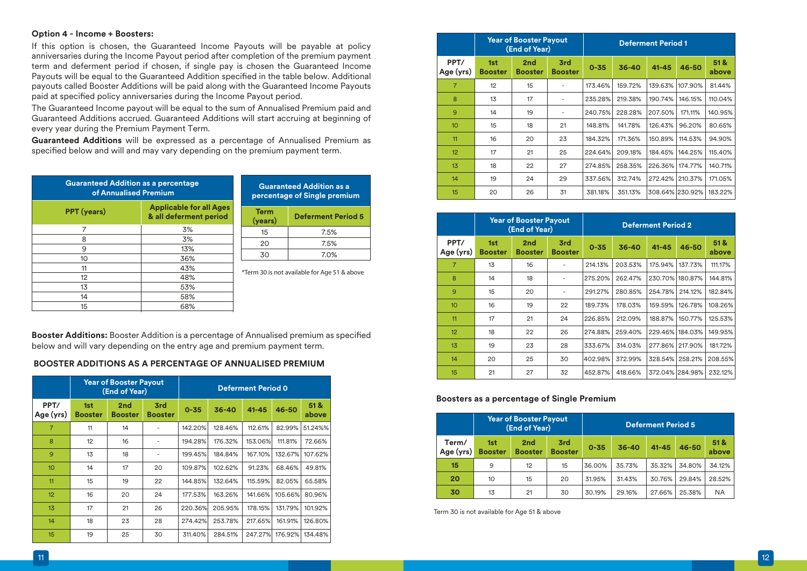### **Option 4 - Income + Boosters:**

If this option is chosen, the Guaranteed Income Payouts will be payable at policy anniversaries during the Income Payout period after completion of the premium payment term and deferment period if chosen, if single pay is chosen the Guaranteed Income Payouts will be equal to the Guaranteed Addition specified in the table below. Additional payouts called Booster Additions will be paid along with the Guaranteed Income Payouts paid at specied policy anniversaries during the Income Payout period.

The Guaranteed Income payout will be equal to the sum of Annualised Premium paid and Guaranteed Additions accrued. Guaranteed Additions will start accruing at beginning of every year during the Premium Payment Term.

**Guaranteed Additions** will be expressed as a percentage of Annualised Premium as specified below and will and may vary depending on the premium payment term.

| <b>Guaranteed Addition as a percentage</b><br>of Annualised Premium |                                                          | <b>Guaranteed Addition</b><br>percentage of Single pre |                                     |  |  |  |
|---------------------------------------------------------------------|----------------------------------------------------------|--------------------------------------------------------|-------------------------------------|--|--|--|
| <b>PPT</b> (years)                                                  | <b>Applicable for all Ages</b><br>& all deferment period | <b>Term</b><br>(years)                                 | <b>Deferment F</b>                  |  |  |  |
| 7                                                                   | 3%                                                       | 15                                                     | 7.5%                                |  |  |  |
| 8                                                                   | 3%                                                       |                                                        |                                     |  |  |  |
| 9                                                                   | 13%                                                      | 20                                                     | 7.5%                                |  |  |  |
| 10                                                                  | 36%                                                      | 30                                                     | 7.0%                                |  |  |  |
| 11                                                                  | 43%                                                      |                                                        |                                     |  |  |  |
| 12                                                                  | 48%                                                      |                                                        | *Term 30 is not available for Age 5 |  |  |  |
| 13                                                                  | 53%                                                      |                                                        |                                     |  |  |  |
| 14                                                                  | 58%                                                      |                                                        |                                     |  |  |  |
| 15                                                                  | 68%                                                      |                                                        |                                     |  |  |  |

| <b>Guaranteed Addition as a</b><br>percentage of Single premium |                           |  |  |  |  |  |  |  |
|-----------------------------------------------------------------|---------------------------|--|--|--|--|--|--|--|
| <b>Term</b><br>(years)                                          | <b>Deferment Period 5</b> |  |  |  |  |  |  |  |
| 15                                                              | 7.5%                      |  |  |  |  |  |  |  |
| 20                                                              | 7.5%                      |  |  |  |  |  |  |  |
|                                                                 | $1.0\%$                   |  |  |  |  |  |  |  |

e 51 & above

**Booster Additions:** Booster Addition is a percentage of Annualised premium as specified below and will vary depending on the entry age and premium payment term.

### **BOOSTER ADDITIONS AS A PERCENTAGE OF ANNUALISED PREMIUM**

|                   |                       | <b>Year of Booster Payout</b><br>(End of Year) |                       |          | <b>Deferment Period 0</b> |           |         |              |
|-------------------|-----------------------|------------------------------------------------|-----------------------|----------|---------------------------|-----------|---------|--------------|
| PPT/<br>Age (yrs) | 1st<br><b>Booster</b> | 2nd<br><b>Booster</b>                          | 3rd<br><b>Booster</b> | $0 - 35$ | 36-40                     | $41 - 45$ | 46-50   | 51&<br>above |
| $\overline{7}$    | 11                    | 14                                             |                       | 142.20%  | 128.46%                   | 112.61%   | 82.99%  | 51.24%%      |
| 8                 | 12                    | 16                                             |                       | 194.28%  | 176.32%                   | 153.06%   | 111.81% | 72.66%       |
| $\mathbf{Q}$      | 13                    | 18                                             |                       | 199.45%  | 184.84%                   | 167.10%   | 132.67% | 107.62%      |
| 10 <sup>10</sup>  | 14                    | 17                                             | 20                    | 109.87%  | 102.62%                   | 91.23%    | 68.46%  | 49.81%       |
| 11                | 15                    | 19                                             | 22                    | 144.85%  | 132.64%                   | 115.59%   | 82.05%  | 65.58%       |
| 12                | 16                    | 20                                             | 24                    | 177.53%  | 163.26%                   | 141.66%   | 105.66% | 80.96%       |
| 13                | 17                    | 21                                             | 26                    | 220.36%  | 205.95%                   | 178.15%   | 131.79% | 101.92%      |
| 14                | 18                    | 23                                             | 28                    | 274.42%  | 253.78%                   | 217.65%   | 161.91% | 126.80%      |
| 15                | 19                    | 25                                             | 30                    | 311.40%  | 284.51%                   | 247.27%   | 176.92% | 134.48%      |

|                   |                       | <b>Year of Booster Payout</b><br>(End of Year) |                       |          | <b>Deferment Period 1</b> |                 |         |              |  |  |
|-------------------|-----------------------|------------------------------------------------|-----------------------|----------|---------------------------|-----------------|---------|--------------|--|--|
| PPT/<br>Age (yrs) | 1st<br><b>Booster</b> | 2nd<br><b>Booster</b>                          | 3rd<br><b>Booster</b> | $0 - 35$ | 36-40                     | $41 - 45$       | 46-50   | 51&<br>above |  |  |
| 7                 | 12                    | 15                                             |                       | 173.46%  | 159.72%                   | 139.63%         | 107.90% | 81.44%       |  |  |
| 8                 | 13                    | 17                                             |                       | 235.28%  | 219.38%                   | 190.74%         | 146.15% | 110.04%      |  |  |
| 9                 | 14                    | 19                                             |                       | 240.75%  | 228.28%                   | 207.50%         | 171.11% | 140.95%      |  |  |
| 10 <sup>10</sup>  | 15                    | 18                                             | 21                    | 148.81%  | 141.78%                   | 126.43%         | 96.20%  | 80.65%       |  |  |
| 11                | 16                    | 20                                             | 23                    | 184.32%  | 171.36%                   | 150.89%         | 114.53% | 94.90%       |  |  |
| 12                | 17                    | 21                                             | 25                    | 224.64%  | 209.18%                   | 184.45%         | 144.25% | 115.40%      |  |  |
| 13                | 18                    | 22                                             | 27                    | 274.85%  | 258.35%                   | 226.36%         | 174.77% | 140.71%      |  |  |
| 14                | 19                    | 24                                             | 29                    | 337.56%  | 312.74%                   | 272.42%         | 210.37% | 171.05%      |  |  |
| 15                | 20                    | 26                                             | 31                    | 381.18%  | 351.13%                   | 308.64% 230.92% |         | 183.22%      |  |  |

|                   |                       | <b>Year of Booster Payout</b><br>(End of Year) |                              |          | <b>Deferment Period 2</b> |                 |           |               |  |  |
|-------------------|-----------------------|------------------------------------------------|------------------------------|----------|---------------------------|-----------------|-----------|---------------|--|--|
| PPT/<br>Age (yrs) | 1st<br><b>Booster</b> | 2 <sub>nd</sub><br><b>Booster</b>              | <b>3rd</b><br><b>Booster</b> | $0 - 35$ | 36-40                     | $41 - 45$       | $46 - 50$ | 51 &<br>above |  |  |
| $\overline{7}$    | 13                    | 16                                             |                              | 214.13%  | 203.53%                   | 175.94%         | 137.73%   | 111.17%       |  |  |
| 8                 | 14                    | 18                                             |                              | 275.20%  | 262.47%                   | 230.70%         | 180.87%   | 144.81%       |  |  |
| 9                 | 15                    | 20                                             |                              | 291.27%  | 280.85%                   | 254.78%         | 214.12%   | 182.84%       |  |  |
| 10                | 16                    | 19                                             | 22                           | 189.73%  | 178.03%                   | 159.59%         | 126.78%   | 108.26%       |  |  |
| 11                | 17                    | 21                                             | 24                           | 226.85%  | 212.09%                   | 188.87%         | 150.77%   | 125.53%       |  |  |
| 12                | 18                    | 22                                             | 26                           | 274.88%  | 259.40%                   | 229.46%         | 184.03%   | 149.95%       |  |  |
| 13                | 19                    | 23                                             | 28                           | 333.67%  | 314.03%                   | 277.86%         | 217.90%   | 181.72%       |  |  |
| 14                | 20                    | 25                                             | 30                           | 402.98%  | 372.99%                   | 328.54%         | 258.21%   | 208.55%       |  |  |
| 15                | 21                    | 27                                             | 32                           | 452.87%  | 418.66%                   | 372.04% 284.98% |           | 232.12%       |  |  |

### **Boosters as a percentage of Single Premium**

|                    | <b>Year of Booster Payout</b><br>(End of Year) |                                   |                       | <b>Deferment Period 5</b> |           |           |           |               |
|--------------------|------------------------------------------------|-----------------------------------|-----------------------|---------------------------|-----------|-----------|-----------|---------------|
| Term/<br>Age (yrs) | 1st<br><b>Booster</b>                          | 2 <sub>nd</sub><br><b>Booster</b> | 3rd<br><b>Booster</b> | $0 - 35$                  | $36 - 40$ | $41 - 45$ | $46 - 50$ | 51 &<br>above |
| 15                 | 9                                              | 12                                | 15                    | 36.00%                    | 35.73%    | 35.32%    | 34.80%    | 34.12%        |
| 20                 | 10                                             | 15                                | 20                    | 31.95%                    | 31.43%    | 30.76%    | 29.84%    | 28.52%        |
| 30                 | 13                                             | 21                                | 30                    | 30.19%                    | 29.16%    | 27.66%    | 25.38%    | <b>NA</b>     |

Term 30 is not available for Age 51 & above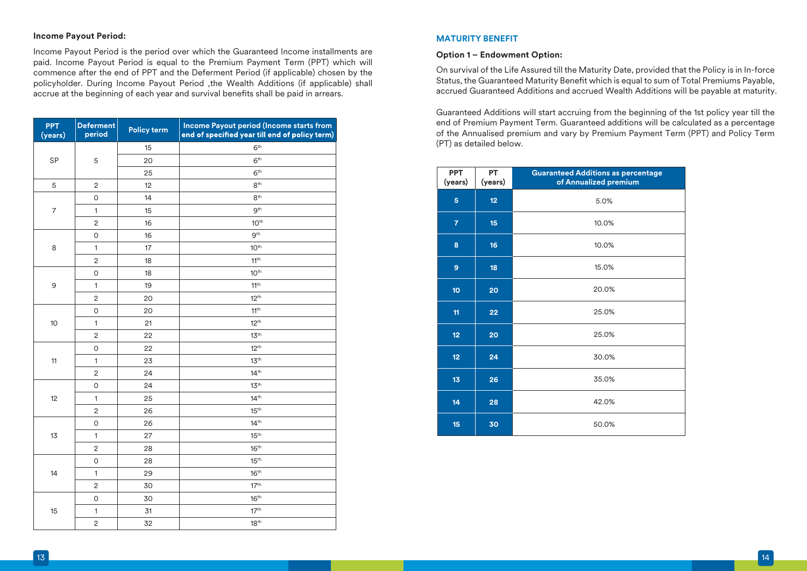### **Income Payout Period:**

Income Payout Period is the period over which the Guaranteed Income installments are paid. Income Payout Period is equal to the Premium Payment Term (PPT) which will commence after the end of PPT and the Deferment Period (if applicable) chosen by the policyholder. During Income Payout Period ,the Wealth Additions (if applicable) shall accrue at the beginning of each year and survival benefits shall be paid in arrears.

| <b>PPT</b><br>(years) | <b>Deferment</b><br>period | <b>Policy term</b> | Income Payout period (Income starts from<br>end of specified year till end of policy term) |  |  |  |  |  |
|-----------------------|----------------------------|--------------------|--------------------------------------------------------------------------------------------|--|--|--|--|--|
|                       |                            | 15                 | 6 <sup>th</sup>                                                                            |  |  |  |  |  |
| <b>SP</b>             | 5                          | 20                 | 6 <sup>th</sup>                                                                            |  |  |  |  |  |
|                       |                            | 25                 | 6 <sup>th</sup>                                                                            |  |  |  |  |  |
| 5                     | $\mathbf 2$                | 12                 | $8^{\text{th}}$                                                                            |  |  |  |  |  |
|                       | 0                          | 14                 | 8 <sup>th</sup>                                                                            |  |  |  |  |  |
| $\overline{7}$        | $\mathbf{1}$               | 15                 | 9 <sup>th</sup>                                                                            |  |  |  |  |  |
|                       | $\overline{2}$             | 16                 | 10 <sup>th</sup>                                                                           |  |  |  |  |  |
|                       | 0                          | 16                 | 9 <sup>th</sup>                                                                            |  |  |  |  |  |
| 8                     | $\mathbf{1}$               | 17                 | 10 <sup>th</sup>                                                                           |  |  |  |  |  |
|                       | $\overline{c}$             | 18                 | 11 <sup>th</sup>                                                                           |  |  |  |  |  |
|                       | O                          | 18                 | 10 <sup>th</sup>                                                                           |  |  |  |  |  |
| 9                     | $\mathbf{1}$               | 19                 | 11 <sup>th</sup>                                                                           |  |  |  |  |  |
|                       | $\overline{2}$             | 20                 | 12 <sup>th</sup>                                                                           |  |  |  |  |  |
|                       | 0                          | 20                 | 11 <sup>th</sup>                                                                           |  |  |  |  |  |
| 10                    | $\mathbf{1}$               | 21                 | $12^{th}$                                                                                  |  |  |  |  |  |
|                       | $\mathbf 2$                | 22                 | 13 <sup>th</sup>                                                                           |  |  |  |  |  |
|                       | 0                          | 22                 | $12^{th}$                                                                                  |  |  |  |  |  |
| 11                    | $\mathbf{1}$               | 23                 | 13 <sup>th</sup>                                                                           |  |  |  |  |  |
|                       | $\overline{2}$             | 24                 | 14 <sup>th</sup>                                                                           |  |  |  |  |  |
|                       | 0                          | 24                 | 13 <sup>th</sup>                                                                           |  |  |  |  |  |
| 12                    | $\mathbf{1}$               | 25                 | 14 <sup>th</sup>                                                                           |  |  |  |  |  |
|                       | $\overline{2}$             | 26                 | 15 <sup>th</sup>                                                                           |  |  |  |  |  |
|                       | 0                          | 26                 | 14 <sup>th</sup>                                                                           |  |  |  |  |  |
| 13                    | $\mathbf{1}$               | 27                 | 15 <sup>th</sup>                                                                           |  |  |  |  |  |
|                       | $\overline{\mathbf{c}}$    | 28                 | 16 <sup>th</sup>                                                                           |  |  |  |  |  |
|                       | 0                          | 28                 | 15 <sup>th</sup>                                                                           |  |  |  |  |  |
| 14                    | $\mathbf{1}$               | 29                 | 16 <sup>th</sup>                                                                           |  |  |  |  |  |
|                       | $\overline{2}$             | 30                 | 17 <sup>th</sup>                                                                           |  |  |  |  |  |
|                       | O                          | 30                 | 16 <sup>th</sup>                                                                           |  |  |  |  |  |
| 15                    | $\mathbf{1}$               | 31                 | 17 <sup>th</sup>                                                                           |  |  |  |  |  |
|                       | $\overline{\mathbf{c}}$    | 32                 | 18 <sup>th</sup>                                                                           |  |  |  |  |  |

### **MATURITY BENEFIT**

### **Option 1 – Endowment Option:**

On survival of the Life Assured till the Maturity Date, provided that the Policy is in In-force Status, the Guaranteed Maturity Benefit which is equal to sum of Total Premiums Payable. accrued Guaranteed Additions and accrued Wealth Additions will be payable at maturity.

Guaranteed Additions will start accruing from the beginning of the 1st policy year till the end of Premium Payment Term. Guaranteed additions will be calculated as a percentage of the Annualised premium and vary by Premium Payment Term (PPT) and Policy Term (PT) as detailed below.

| <b>PPT</b><br>(years) | PT<br>(years) | <b>Guaranteed Additions as percentage</b><br>of Annualized premium |
|-----------------------|---------------|--------------------------------------------------------------------|
| 5                     | 12            | 5.0%                                                               |
| $\overline{7}$        | 15            | 10.0%                                                              |
| 8                     | 16            | 10.0%                                                              |
| 9                     | 18            | 15.0%                                                              |
| 10 <sub>10</sub>      | 20            | 20.0%                                                              |
| 11                    | 22            | 25.0%                                                              |
| 12 <sub>2</sub>       | 20            | 25.0%                                                              |
| 12 <sub>2</sub>       | 24            | 30.0%                                                              |
| 13                    | 26            | 35.0%                                                              |
| 14                    | 28            | 42.0%                                                              |
| 15                    | 30            | 50.0%                                                              |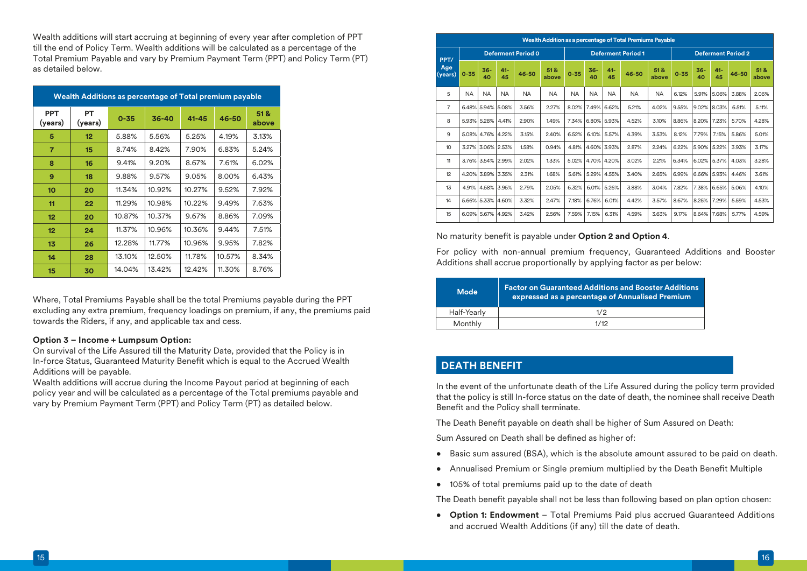Wealth additions will start accruing at beginning of every year after completion of PPT till the end of Policy Term. Wealth additions will be calculated as a percentage of the Total Premium Payable and vary by Premium Payment Term (PPT) and Policy Term (PT) as detailed below.

|                       | Wealth Additions as percentage of Total premium payable |          |           |           |        |               |  |  |  |
|-----------------------|---------------------------------------------------------|----------|-----------|-----------|--------|---------------|--|--|--|
| <b>PPT</b><br>(years) | PT<br>(years)                                           | $0 - 35$ | $36 - 40$ | $41 - 45$ | 46-50  | 51 &<br>above |  |  |  |
| 5                     | 12 <sub>2</sub>                                         | 5.88%    | 5.56%     | 5.25%     | 4.19%  | 3.13%         |  |  |  |
| $\overline{7}$        | 15                                                      | 8.74%    | 8.42%     | 7.90%     | 6.83%  | 5.24%         |  |  |  |
| 8                     | 16                                                      | 9.41%    | 9.20%     | 8.67%     | 7.61%  | 6.02%         |  |  |  |
| 9                     | 18                                                      | 9.88%    | 9.57%     | 9.05%     | 8.00%  | 6.43%         |  |  |  |
| 10                    | 20                                                      | 11.34%   | 10.92%    | 10.27%    | 9.52%  | 7.92%         |  |  |  |
| 11                    | 22                                                      | 11.29%   | 10.98%    | 10.22%    | 9.49%  | 7.63%         |  |  |  |
| $12 \overline{ }$     | 20                                                      | 10.87%   | 10.37%    | 9.67%     | 8.86%  | 7.09%         |  |  |  |
| 12 <sub>2</sub>       | 24                                                      | 11.37%   | 10.96%    | 10.36%    | 9.44%  | 7.51%         |  |  |  |
| 13                    | 26                                                      | 12.28%   | 11.77%    | 10.96%    | 9.95%  | 7.82%         |  |  |  |
| 14                    | 28                                                      | 13.10%   | 12.50%    | 11.78%    | 10.57% | 8.34%         |  |  |  |
| 15                    | 30                                                      | 14.04%   | 13.42%    | 12.42%    | 11.30% | 8.76%         |  |  |  |

Where, Total Premiums Payable shall be the total Premiums payable during the PPT excluding any extra premium, frequency loadings on premium, if any, the premiums paid towards the Riders, if any, and applicable tax and cess.

### **Option 3 – Income + Lumpsum Option:**

On survival of the Life Assured till the Maturity Date, provided that the Policy is in In-force Status, Guaranteed Maturity Benefit which is equal to the Accrued Wealth Additions will be payable.

Wealth additions will accrue during the Income Payout period at beginning of each policy year and will be calculated as a percentage of the Total premiums payable and vary by Premium Payment Term (PPT) and Policy Term (PT) as detailed below.

|                  | Wealth Addition as a percentage of Total Premiums Payable |                           |              |           |              |           |                           |              |           |               |          |              |              |                           |              |
|------------------|-----------------------------------------------------------|---------------------------|--------------|-----------|--------------|-----------|---------------------------|--------------|-----------|---------------|----------|--------------|--------------|---------------------------|--------------|
| PPT/             |                                                           | <b>Deferment Period 0</b> |              |           |              |           | <b>Deferment Period 1</b> |              |           |               |          |              |              | <b>Deferment Period 2</b> |              |
| Age<br>(years)   | $0 - 35$                                                  | $36 -$<br>40              | $41 -$<br>45 | 46-50     | 51&<br>above | $0 - 35$  | $36 -$<br>40              | $41 -$<br>45 | 46-50     | 51 &<br>above | $0 - 35$ | $36 -$<br>40 | $41 -$<br>45 | $46 - 50$                 | 51&<br>above |
| 5                | <b>NA</b>                                                 | <b>NA</b>                 | <b>NA</b>    | <b>NA</b> | <b>NA</b>    | <b>NA</b> | <b>NA</b>                 | <b>NA</b>    | <b>NA</b> | <b>NA</b>     | 6.12%    | 5.91%        | 5.06%        | 3.88%                     | 2.06%        |
| $\overline{7}$   |                                                           | 6.48% 5.94% 5.08%         |              | 3.56%     | 2.27%        | 8.02%     | 7.49%                     | 6.62%        | 5.21%     | 4.02%         | 9.55%    | 9.02%        | 8.03%        | 6.51%                     | 5.11%        |
| 8                |                                                           | 5.93% 5.28%               | 4.41%        | 2.90%     | 1.49%        | 7.34%     |                           | 6.80% 5.93%  | 4.52%     | 3.10%         | 8.86%    | 8.20%        | 7.23%        | 5.70%                     | 4.28%        |
| 9                |                                                           | 5.08% 4.76%               | 4.22%        | 3.15%     | 2.40%        | 6.52%     | 6.10%                     | 5.57%        | 4.39%     | 3.53%         | 8.12%    | 7.79%        | 7.15%        | 5.86%                     | 5.01%        |
| 10 <sup>10</sup> |                                                           | 3.27% 3.06% 2.53%         |              | 1.58%     | 0.94%        | 4.81%     |                           | 4.60% 3.93%  | 2.87%     | 2.24%         | 6.22%    | 5.90%        | 5.22%        | 3.93%                     | 3.17%        |
| 11               |                                                           | 3.76% 3.54% 2.99%         |              | 2.02%     | 1.33%        | 5.02%     |                           | 4.70% 4.20%  | 3.02%     | 2.21%         | 6.34%    | 6.02%        | 5.37%        | 4.03%                     | 3.28%        |
| 12               |                                                           | 4.20% 3.89% 3.35%         |              | 2.31%     | 1.68%        | 5.61%     | 5.29%                     | 4.55%        | 3.40%     | 2.65%         | 6.99%    | 6.66%        | 5.93%        | 4.46%                     | 3.61%        |
| 13               | 4.91%                                                     | 4.58%                     | 3.95%        | 2.79%     | 2.05%        | 6.32%     | 6.01%                     | 5.26%        | 3.88%     | 3.04%         | 7.82%    | 7.38%        | 6.65%        | 5.06%                     | 4.10%        |
| 14               |                                                           | 5.66% 5.33%               | 4.60%        | 3.32%     | 2.47%        | 7.18%     | 6.76%                     | 6.01%        | 4.42%     | 3.57%         | 8.67%    | 8.25%        | 7.29%        | 5.59%                     | 4.53%        |
| 15               |                                                           | 6.09% 5.67%               | 4.92%        | 3.42%     | 2.56%        | 7.59%     | 7.15%                     | 6.31%        | 4.59%     | 3.63%         | 9.17%    | 8.64%        | 7.68%        | 5.77%                     | 4.59%        |

### No maturity benefit is payable under Option 2 and Option 4.

For policy with non-annual premium frequency, Guaranteed Additions and Booster Additions shall accrue proportionally by applying factor as per below:

| <b>Mode</b> | <b>Factor on Guaranteed Additions and Booster Additions</b><br>expressed as a percentage of Annualised Premium |
|-------------|----------------------------------------------------------------------------------------------------------------|
| Half-Yearly | 1/2                                                                                                            |
| Monthly     | 1/12                                                                                                           |

# **DEATH BENEFIT**

In the event of the unfortunate death of the Life Assured during the policy term provided that the policy is still In-force status on the date of death, the nominee shall receive Death Benefit and the Policy shall terminate.

The Death Benefit payable on death shall be higher of Sum Assured on Death:

Sum Assured on Death shall be defined as higher of:

- Basic sum assured (BSA), which is the absolute amount assured to be paid on death.
- Annualised Premium or Single premium multiplied by the Death Benefit Multiple
- 105% of total premiums paid up to the date of death

The Death benefit payable shall not be less than following based on plan option chosen:

• **Option 1: Endowment** – Total Premiums Paid plus accrued Guaranteed Additions and accrued Wealth Additions (if any) till the date of death.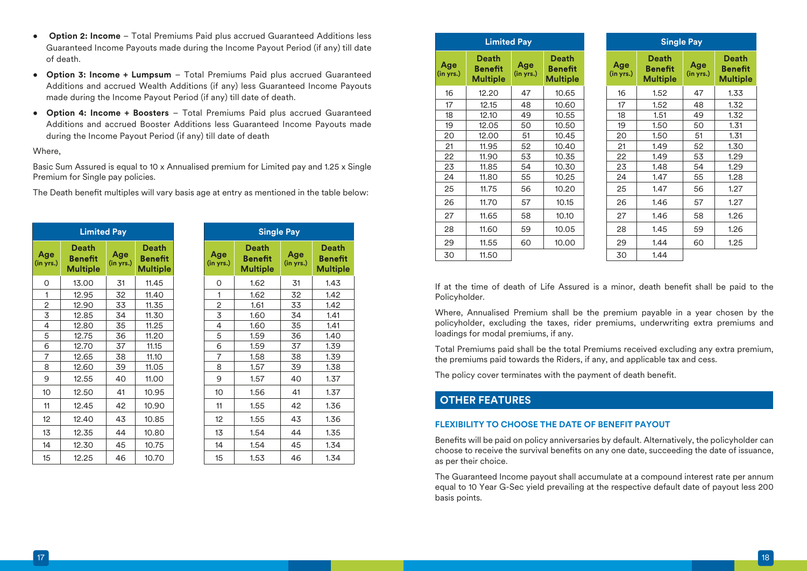- **Option 2: Income** Total Premiums Paid plus accrued Guaranteed Additions less Guaranteed Income Payouts made during the Income Payout Period (if any) till date of death.
- **Option 3: Income + Lumpsum** Total Premiums Paid plus accrued Guaranteed Additions and accrued Wealth Additions (if any) less Guaranteed Income Payouts made during the Income Payout Period (if any) till date of death.
- **Option 4: Income + Boosters** Total Premiums Paid plus accrued Guaranteed Additions and accrued Booster Additions less Guaranteed Income Payouts made during the Income Payout Period (if any) till date of death

### Where,

Basic Sum Assured is equal to 10 x Annualised premium for Limited pay and 1.25 x Single Premium for Single pay policies.

The Death benefit multiples will vary basis age at entry as mentioned in the table below:

|                  | <b>Limited Pay</b>                                |                  |                                                   |                  | <b>Single Pay</b>                                 |              |
|------------------|---------------------------------------------------|------------------|---------------------------------------------------|------------------|---------------------------------------------------|--------------|
| Age<br>(in yrs.) | <b>Death</b><br><b>Benefit</b><br><b>Multiple</b> | Age<br>(in yrs.) | <b>Death</b><br><b>Benefit</b><br><b>Multiple</b> | Age<br>(in yrs.) | <b>Death</b><br><b>Benefit</b><br><b>Multiple</b> | Ag<br>(in yr |
| 0                | 13.00                                             | 31               | 11.45                                             | O                | 1.62                                              | 31           |
| 1                | 12.95                                             | 32               | 11.40                                             | 1                | 1.62                                              | 32           |
| 2                | 12.90                                             | 33               | 11.35                                             | 2                | 1.61                                              | 33           |
| 3                | 12.85                                             | 34               | 11.30                                             | 3                | 1.60                                              | 34           |
| 4                | 12.80                                             | 35               | 11.25                                             | 4                | 1.60                                              | 35           |
| 5                | 12.75                                             | 36               | 11.20                                             | 5                | 1.59                                              | 36           |
| 6                | 12.70                                             | 37               | 11.15                                             | 6                | 1.59                                              | 37           |
| $\overline{7}$   | 12.65                                             | 38               | 11.10                                             | $\overline{7}$   | 1.58                                              | 38           |
| 8                | 12.60                                             | 39               | 11.05                                             | 8                | 1.57                                              | 39           |
| 9                | 12.55                                             | 40               | 11.00                                             | 9                | 1.57                                              | 4C           |
| 10               | 12.50                                             | 41               | 10.95                                             | 10 <sup>°</sup>  | 1.56                                              | 41           |
| 11               | 12.45                                             | 42               | 10.90                                             | 11               | 1.55                                              | 42           |
| 12               | 12.40                                             | 43               | 10.85                                             | 12               | 1.55                                              | 43           |
| 13               | 12.35                                             | 44               | 10.80                                             | 13               | 1.54                                              | 44           |
| 14               | 12.30                                             | 45               | 10.75                                             | 14               | 1.54                                              | 45           |
| 15               | 12.25                                             | 46               | 10.70                                             | 15               | 1.53                                              | 46           |

|                | <b>Limited Pay</b>                                |                  | <b>Single Pay</b>                                 |                  |                                                   |                  |                                                   |
|----------------|---------------------------------------------------|------------------|---------------------------------------------------|------------------|---------------------------------------------------|------------------|---------------------------------------------------|
| ge<br>yrs.)    | <b>Death</b><br><b>Benefit</b><br><b>Multiple</b> | Age<br>(in yrs.) | <b>Death</b><br><b>Benefit</b><br><b>Multiple</b> | Age<br>(in yrs.) | <b>Death</b><br><b>Benefit</b><br><b>Multiple</b> | Age<br>(in yrs.) | <b>Death</b><br><b>Benefit</b><br><b>Multiple</b> |
| 0              | 13.00                                             | 31               | 11.45                                             | 0                | 1.62                                              | 31               | 1.43                                              |
| $\mathbf{1}$   | 12.95                                             | 32               | 11.40                                             | 1                | 1.62                                              | 32               | 1.42                                              |
| $\overline{2}$ | 12.90                                             | 33               | 11.35                                             | $\overline{2}$   | 1.61                                              | 33               | 1.42                                              |
| $\overline{3}$ | 12.85                                             | 34               | 11.30                                             | 3                | 1.60                                              | 34               | 1.41                                              |
| 4              | 12.80                                             | 35               | 11.25                                             | $\overline{4}$   | 1.60                                              | 35               | 1.41                                              |
| $\mathbf 5$    | 12.75                                             | 36               | 11.20                                             | 5                | 1.59                                              | 36               | 1.40                                              |
| 6              | 12.70                                             | 37               | 11.15                                             | 6                | 1.59                                              | 37               | 1.39                                              |
| $\overline{7}$ | 12.65                                             | 38               | 11.10                                             | $\overline{7}$   | 1.58                                              | 38               | 1.39                                              |
| 8              | 12.60                                             | 39               | 11.05                                             | 8                | 1.57                                              | 39               | 1.38                                              |
| 9              | 12.55                                             | 40               | 11.00                                             | 9                | 1.57                                              | 40               | 1.37                                              |
| 10             | 12.50                                             | 41               | 10.95                                             | 10               | 1.56                                              | 41               | 1.37                                              |
| 11             | 12.45                                             | 42               | 10.90                                             | 11               | 1.55                                              | 42               | 1.36                                              |
| 12             | 12.40                                             | 43               | 10.85                                             | 12               | 1.55                                              | 43               | 1.36                                              |
| 13             | 12.35                                             | 44               | 10.80                                             | 13               | 1.54                                              | 44               | 1.35                                              |
| 14             | 12.30                                             | 45               | 10.75                                             | 14               | 1.54                                              | 45               | 1.34                                              |
| 15             | 12.25                                             | 46               | 10.70                                             | 15               | 1.53                                              | 46               | 1.34                                              |

|                  | <b>Limited Pay</b>                                |                  |                                                   | S                |                                              |
|------------------|---------------------------------------------------|------------------|---------------------------------------------------|------------------|----------------------------------------------|
| Age<br>(in yrs.) | <b>Death</b><br><b>Benefit</b><br><b>Multiple</b> | Age<br>(in yrs.) | <b>Death</b><br><b>Benefit</b><br><b>Multiple</b> | Age<br>(in yrs.) | <b>Deat</b><br><b>Benet</b><br><b>Multip</b> |
| 16               | 12.20                                             | 47               | 10.65                                             | 16               | 1.52                                         |
| 17               | 12.15                                             | 48               | 10.60                                             | 17               | 1.52                                         |
| 18               | 12.10                                             | 49               | 10.55                                             | 18               | 1.51                                         |
| 19               | 12.05                                             | 50               | 10.50                                             | 19               | 1.50                                         |
| 20               | 12.00                                             | 51               | 10.45                                             | 20               | 1.50                                         |
| 21               | 11.95                                             | 52               | 10.40                                             | 21               | 1.49                                         |
| 22               | 11.90                                             | 53               | 10.35                                             | 22               | 1.49                                         |
| 23               | 11.85                                             | 54               | 10.30                                             | 23               | 1.48                                         |
| 24               | 11.80                                             | 55               | 10.25                                             | 24               | 1.47                                         |
| 25               | 11.75                                             | 56               | 10.20                                             | 25               | 1.47                                         |
| 26               | 11.70                                             | 57               | 10.15                                             | 26               | 1.46                                         |
| 27               | 11.65                                             | 58               | 10.10                                             | 27               | 1.46                                         |
| 28               | 11.60                                             | 59               | 10.05                                             | 28               | 1.45                                         |
| 29               | 11.55                                             | 60               | 10.00                                             | 29               | 1.44                                         |
| 30               | 11.50                                             |                  |                                                   | 30               | 1.44                                         |

|                  | <b>Single Pay</b>                   |                  |                                     |  |  |  |  |  |  |
|------------------|-------------------------------------|------------------|-------------------------------------|--|--|--|--|--|--|
| Age<br>(in yrs.) | Death<br>Benefit<br><b>Multiple</b> | Age<br>(in yrs.) | Death<br>Benefit<br><b>Multiple</b> |  |  |  |  |  |  |
| 16               | 1.52                                | 47               | 1.33                                |  |  |  |  |  |  |
| 17               | 1.52                                | 48               | 1.32                                |  |  |  |  |  |  |
| 18               | 1.51                                | 49               | 1.32                                |  |  |  |  |  |  |
| 19               | 1.50                                | 50               | 1.31                                |  |  |  |  |  |  |
| 20               | 1.50                                | 51               | 1.31                                |  |  |  |  |  |  |
| 21               | 1.49                                | 52               | 1.30                                |  |  |  |  |  |  |
| 22               | 1.49                                | 53               | 1.29                                |  |  |  |  |  |  |
| 23               | 1.48                                | 54               | 1.29                                |  |  |  |  |  |  |
| 24               | 1.47                                | 55               | 1.28                                |  |  |  |  |  |  |
| 25               | 1.47                                | 56               | 1.27                                |  |  |  |  |  |  |
| 26               | 1.46                                | 57               | 1.27                                |  |  |  |  |  |  |
| 27               | 1.46                                | 58               | 1.26                                |  |  |  |  |  |  |
| 28               | 1.45                                | 59               | 1.26                                |  |  |  |  |  |  |
| 29               | 1.44                                | 60               | 1.25                                |  |  |  |  |  |  |
| 30               | 1.44                                |                  |                                     |  |  |  |  |  |  |

If at the time of death of Life Assured is a minor, death benefit shall be paid to the Policyholder.

Where, Annualised Premium shall be the premium payable in a year chosen by the policyholder, excluding the taxes, rider premiums, underwriting extra premiums and loadings for modal premiums, if any.

Total Premiums paid shall be the total Premiums received excluding any extra premium, the premiums paid towards the Riders, if any, and applicable tax and cess.

The policy cover terminates with the payment of death benefit.

# **OTHER FEATURES**

### **FLEXIBILITY TO CHOOSE THE DATE OF BENEFIT PAYOUT**

Benefits will be paid on policy anniversaries by default. Alternatively, the policyholder can choose to receive the survival benefits on any one date, succeeding the date of issuance, as per their choice.

The Guaranteed Income payout shall accumulate at a compound interest rate per annum equal to 10 Year G-Sec yield prevailing at the respective default date of payout less 200 basis points.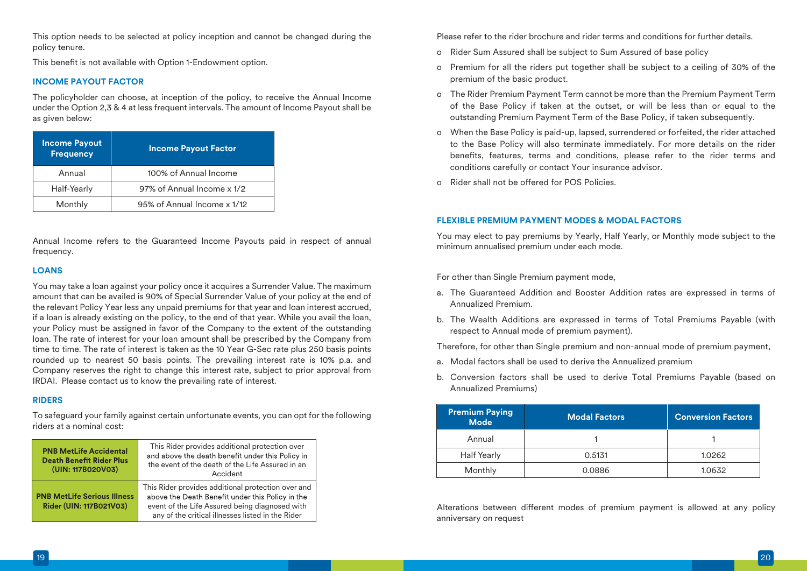This option needs to be selected at policy inception and cannot be changed during the policy tenure.

This benefit is not available with Option 1-Endowment option.

### **INCOME PAYOUT FACTOR**

The policyholder can choose, at inception of the policy, to receive the Annual Income under the Option 2,3 & 4 at less frequent intervals. The amount of Income Payout shall be as given below:

| <b>Income Payout</b><br><b>Frequency</b> | <b>Income Payout Factor</b> |
|------------------------------------------|-----------------------------|
| Annual                                   | 100% of Annual Income       |
| Half-Yearly                              | 97% of Annual Income x 1/2  |
| Monthly                                  | 95% of Annual Income x 1/12 |

Annual Income refers to the Guaranteed Income Payouts paid in respect of annual frequency.

### **LOANS**

You may take a loan against your policy once it acquires a Surrender Value. The maximum amount that can be availed is 90% of Special Surrender Value of your policy at the end of the relevant Policy Year less any unpaid premiums for that year and loan interest accrued, if a loan is already existing on the policy, to the end of that year. While you avail the loan, your Policy must be assigned in favor of the Company to the extent of the outstanding loan. The rate of interest for your loan amount shall be prescribed by the Company from time to time. The rate of interest is taken as the 10 Year G-Sec rate plus 250 basis points rounded up to nearest 50 basis points. The prevailing interest rate is 10% p.a. and Company reserves the right to change this interest rate, subject to prior approval from IRDAI. Please contact us to know the prevailing rate of interest.

### **RIDERS**

To safeguard your family against certain unfortunate events, you can opt for the following riders at a nominal cost:

| <b>PNB MetLife Accidental</b><br><b>Death Benefit Rider Plus</b><br>(UIN: 117B020V03) | This Rider provides additional protection over<br>and above the death benefit under this Policy in<br>the event of the death of the Life Assured in an<br>Accident                                            |
|---------------------------------------------------------------------------------------|---------------------------------------------------------------------------------------------------------------------------------------------------------------------------------------------------------------|
| <b>PNB MetLife Serious Illness</b><br>Rider (UIN: 117B021V03)                         | This Rider provides additional protection over and<br>above the Death Benefit under this Policy in the<br>event of the Life Assured being diagnosed with<br>any of the critical illnesses listed in the Rider |

Please refer to the rider brochure and rider terms and conditions for further details.

- o Rider Sum Assured shall be subject to Sum Assured of base policy
- o Premium for all the riders put together shall be subject to a ceiling of 30% of the premium of the basic product.
- o The Rider Premium Payment Term cannot be more than the Premium Payment Term of the Base Policy if taken at the outset, or will be less than or equal to the outstanding Premium Payment Term of the Base Policy, if taken subsequently.
- o When the Base Policy is paid-up, lapsed, surrendered or forfeited, the rider attached to the Base Policy will also terminate immediately. For more details on the rider benefits, features, terms and conditions, please refer to the rider terms and conditions carefully or contact Your insurance advisor.
- o Rider shall not be offered for POS Policies.

### **FLEXIBLE PREMIUM PAYMENT MODES & MODAL FACTORS**

You may elect to pay premiums by Yearly, Half Yearly, or Monthly mode subject to the minimum annualised premium under each mode.

For other than Single Premium payment mode,

- a. The Guaranteed Addition and Booster Addition rates are expressed in terms of Annualized Premium.
- b. The Wealth Additions are expressed in terms of Total Premiums Payable (with respect to Annual mode of premium payment).

Therefore, for other than Single premium and non-annual mode of premium payment,

- a. Modal factors shall be used to derive the Annualized premium
- b. Conversion factors shall be used to derive Total Premiums Payable (based on Annualized Premiums)

| <b>Premium Paying</b><br><b>Mode</b> | <b>Modal Factors</b> | <b>Conversion Factors</b> |
|--------------------------------------|----------------------|---------------------------|
| Annual                               |                      |                           |
| <b>Half Yearly</b>                   | 0.5131               | 1.0262                    |
| Monthly                              | 0.0886               | 1.0632                    |

Alterations between different modes of premium payment is allowed at any policy anniversary on request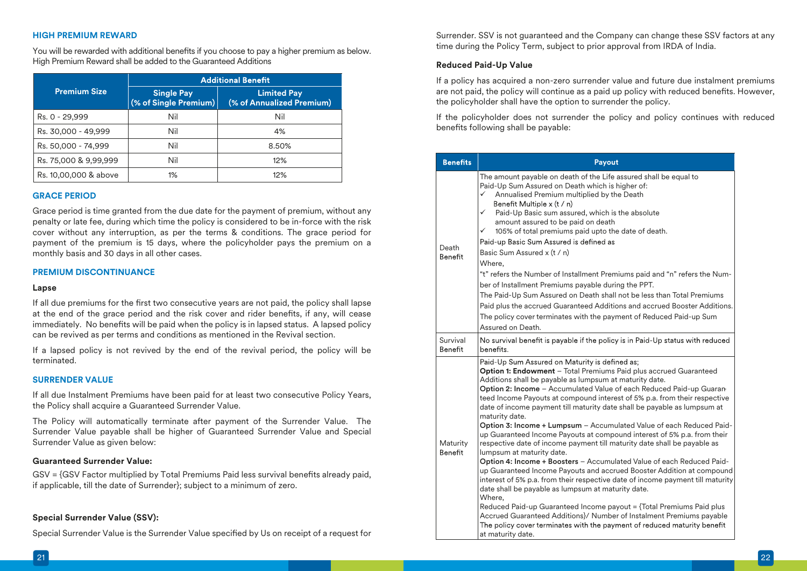### **HIGH PREMIUM REWARD**

You will be rewarded with additional benefits if you choose to pay a higher premium as below. High Premium Reward shall be added to the Guaranteed Additions

|                       | <b>Additional Benefit</b>                    |                                                 |  |
|-----------------------|----------------------------------------------|-------------------------------------------------|--|
| <b>Premium Size</b>   | <b>Single Pay</b><br>$(%$ of Single Premium) | <b>Limited Pay</b><br>(% of Annualized Premium) |  |
| Rs. 0 - 29,999        | Nil                                          | Nil                                             |  |
| Rs. 30,000 - 49,999   | Nil                                          | 4%                                              |  |
| Rs. 50,000 - 74,999   | Nil                                          | 8.50%                                           |  |
| Rs. 75,000 & 9,99,999 | Nil                                          | 12%                                             |  |
| Rs. 10,00,000 & above | 1%                                           | 12%                                             |  |

### **GRACE PERIOD**

Grace period is time granted from the due date for the payment of premium, without any penalty or late fee, during which time the policy is considered to be in-force with the risk cover without any interruption, as per the terms & conditions. The grace period for payment of the premium is 15 days, where the policyholder pays the premium on a monthly basis and 30 days in all other cases.

#### **PREMIUM DISCONTINUANCE**

#### **Lapse**

If all due premiums for the first two consecutive years are not paid, the policy shall lapse at the end of the grace period and the risk cover and rider benefits, if any, will cease immediately. No benefits will be paid when the policy is in lapsed status. A lapsed policy can be revived as per terms and conditions as mentioned in the Revival section.

If a lapsed policy is not revived by the end of the revival period, the policy will be terminated.

#### **SURRENDER VALUE**

If all due Instalment Premiums have been paid for at least two consecutive Policy Years, the Policy shall acquire a Guaranteed Surrender Value.

The Policy will automatically terminate after payment of the Surrender Value. The Surrender Value payable shall be higher of Guaranteed Surrender Value and Special Surrender Value as given below:

### **Guaranteed Surrender Value:**

GSV = {GSV Factor multiplied by Total Premiums Paid less survival benefits already paid, if applicable, till the date of Surrender}; subject to a minimum of zero.

### **Special Surrender Value (SSV):**

Special Surrender Value is the Surrender Value specified by Us on receipt of a request for

Surrender. SSV is not guaranteed and the Company can change these SSV factors at any time during the Policy Term, subject to prior approval from IRDA of India.

#### **Reduced Paid-Up Value**

If a policy has acquired a non-zero surrender value and future due instalment premiums are not paid, the policy will continue as a paid up policy with reduced benefits. However, the policyholder shall have the option to surrender the policy.

If the policyholder does not surrender the policy and policy continues with reduced benefits following shall be payable:

| <b>Benefits</b>         | Payout                                                                                                                                                                                                                                                                                                                                                                                                                                                                                                                                                                                                                                                                                                                                                                                                                                                                                                                                                                                                                                                                                                                                                                                                                                                    |
|-------------------------|-----------------------------------------------------------------------------------------------------------------------------------------------------------------------------------------------------------------------------------------------------------------------------------------------------------------------------------------------------------------------------------------------------------------------------------------------------------------------------------------------------------------------------------------------------------------------------------------------------------------------------------------------------------------------------------------------------------------------------------------------------------------------------------------------------------------------------------------------------------------------------------------------------------------------------------------------------------------------------------------------------------------------------------------------------------------------------------------------------------------------------------------------------------------------------------------------------------------------------------------------------------|
| Death<br><b>Benefit</b> | The amount payable on death of the Life assured shall be equal to<br>Paid-Up Sum Assured on Death which is higher of:<br>Annualised Premium multiplied by the Death<br>✓<br>Benefit Multiple $x(t/n)$<br>$\checkmark$<br>Paid-Up Basic sum assured, which is the absolute<br>amount assured to be paid on death<br>105% of total premiums paid upto the date of death.<br>✓<br>Paid-up Basic Sum Assured is defined as<br>Basic Sum Assured x (t / n)<br>Where.<br>"t" refers the Number of Installment Premiums paid and "n" refers the Num-<br>ber of Installment Premiums payable during the PPT.<br>The Paid-Up Sum Assured on Death shall not be less than Total Premiums<br>Paid plus the accrued Guaranteed Additions and accrued Booster Additions.<br>The policy cover terminates with the payment of Reduced Paid-up Sum<br>Assured on Death.                                                                                                                                                                                                                                                                                                                                                                                                   |
| Survival<br>Benefit     | No survival benefit is payable if the policy is in Paid-Up status with reduced<br>benefits.                                                                                                                                                                                                                                                                                                                                                                                                                                                                                                                                                                                                                                                                                                                                                                                                                                                                                                                                                                                                                                                                                                                                                               |
| Maturity<br>Benefit     | Paid-Up Sum Assured on Maturity is defined as;<br><b>Option 1: Endowment</b> - Total Premiums Paid plus accrued Guaranteed<br>Additions shall be payable as lumpsum at maturity date.<br>Option 2: Income - Accumulated Value of each Reduced Paid-up Guaran-<br>teed Income Payouts at compound interest of 5% p.a. from their respective<br>date of income payment till maturity date shall be payable as lumpsum at<br>maturity date.<br>Option 3: Income + Lumpsum - Accumulated Value of each Reduced Paid-<br>up Guaranteed Income Payouts at compound interest of 5% p.a. from their<br>respective date of income payment till maturity date shall be payable as<br>lumpsum at maturity date.<br>Option 4: Income + Boosters - Accumulated Value of each Reduced Paid-<br>up Guaranteed Income Payouts and accrued Booster Addition at compound<br>interest of 5% p.a. from their respective date of income payment till maturity<br>date shall be payable as lumpsum at maturity date.<br>Where,<br>Reduced Paid-up Guaranteed Income payout = {Total Premiums Paid plus<br>Accrued Guaranteed Additions}/ Number of Instalment Premiums payable<br>The policy cover terminates with the payment of reduced maturity benefit<br>at maturity date. |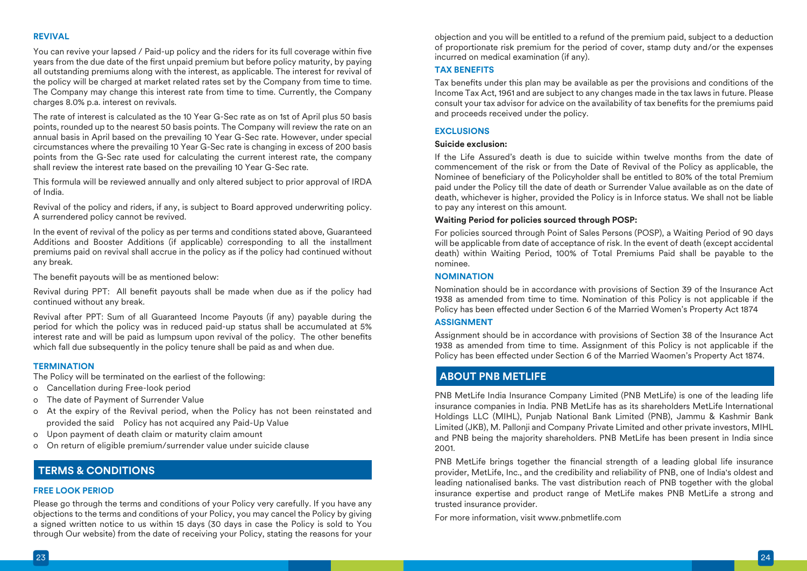### **REVIVAL**

You can revive your lapsed / Paid-up policy and the riders for its full coverage within five years from the due date of the first unpaid premium but before policy maturity, by paying all outstanding premiums along with the interest, as applicable. The interest for revival of the policy will be charged at market related rates set by the Company from time to time. The Company may change this interest rate from time to time. Currently, the Company charges 8.0% p.a. interest on revivals.

The rate of interest is calculated as the 10 Year G-Sec rate as on 1st of April plus 50 basis points, rounded up to the nearest 50 basis points. The Company will review the rate on an annual basis in April based on the prevailing 10 Year G-Sec rate. However, under special circumstances where the prevailing 10 Year G-Sec rate is changing in excess of 200 basis points from the G-Sec rate used for calculating the current interest rate, the company shall review the interest rate based on the prevailing 10 Year G-Sec rate.

This formula will be reviewed annually and only altered subject to prior approval of IRDA of India.

Revival of the policy and riders, if any, is subject to Board approved underwriting policy. A surrendered policy cannot be revived.

In the event of revival of the policy as per terms and conditions stated above, Guaranteed Additions and Booster Additions (if applicable) corresponding to all the installment premiums paid on revival shall accrue in the policy as if the policy had continued without any break.

The benefit payouts will be as mentioned below:

Revival during PPT: All benefit payouts shall be made when due as if the policy had continued without any break.

Revival after PPT: Sum of all Guaranteed Income Payouts (if any) payable during the period for which the policy was in reduced paid-up status shall be accumulated at 5% interest rate and will be paid as lumpsum upon revival of the policy. The other benefits which fall due subsequently in the policy tenure shall be paid as and when due.

### **TERMINATION**

The Policy will be terminated on the earliest of the following:

- o Cancellation during Free-look period
- o The date of Payment of Surrender Value
- o At the expiry of the Revival period, when the Policy has not been reinstated and provided the said Policy has not acquired any Paid-Up Value
- o Upon payment of death claim or maturity claim amount
- o On return of eligible premium/surrender value under suicide clause

# **TERMS & CONDITIONS**

#### **FREE LOOK PERIOD**

Please go through the terms and conditions of your Policy very carefully. If you have any objections to the terms and conditions of your Policy, you may cancel the Policy by giving a signed written notice to us within 15 days (30 days in case the Policy is sold to You through Our website) from the date of receiving your Policy, stating the reasons for your

objection and you will be entitled to a refund of the premium paid, subject to a deduction of proportionate risk premium for the period of cover, stamp duty and/or the expenses incurred on medical examination (if any).

### **TAX BENEFITS**

Tax benefits under this plan may be available as per the provisions and conditions of the Income Tax Act, 1961 and are subject to any changes made in the tax laws in future. Please consult your tax advisor for advice on the availability of tax benefits for the premiums paid and proceeds received under the policy.

### **EXCLUSIONS**

### **Suicide exclusion:**

If the Life Assured's death is due to suicide within twelve months from the date of commencement of the risk or from the Date of Revival of the Policy as applicable, the Nominee of beneficiary of the Policyholder shall be entitled to 80% of the total Premium paid under the Policy till the date of death or Surrender Value available as on the date of death, whichever is higher, provided the Policy is in Inforce status. We shall not be liable to pay any interest on this amount.

### **Waiting Period for policies sourced through POSP:**

For policies sourced through Point of Sales Persons (POSP), a Waiting Period of 90 days will be applicable from date of acceptance of risk. In the event of death (except accidental death) within Waiting Period, 100% of Total Premiums Paid shall be payable to the nominee.

### **NOMINATION**

Nomination should be in accordance with provisions of Section 39 of the Insurance Act 1938 as amended from time to time. Nomination of this Policy is not applicable if the Policy has been effected under Section 6 of the Married Women's Property Act 1874

#### **ASSIGNMENT**

Assignment should be in accordance with provisions of Section 38 of the Insurance Act 1938 as amended from time to time. Assignment of this Policy is not applicable if the Policy has been effected under Section 6 of the Married Waomen's Property Act 1874.

# **ABOUT PNB METLIFE**

PNB MetLife India Insurance Company Limited (PNB MetLife) is one of the leading life insurance companies in India. PNB MetLife has as its shareholders MetLife International Holdings LLC (MIHL), Punjab National Bank Limited (PNB), Jammu & Kashmir Bank Limited (JKB), M. Pallonji and Company Private Limited and other private investors, MIHL and PNB being the majority shareholders. PNB MetLife has been present in India since 2001.

PNB MetLife brings together the financial strength of a leading global life insurance provider, MetLife, Inc., and the credibility and reliability of PNB, one of India's oldest and leading nationalised banks. The vast distribution reach of PNB together with the global insurance expertise and product range of MetLife makes PNB MetLife a strong and trusted insurance provider.

For more information, visit www.pnbmetlife.com